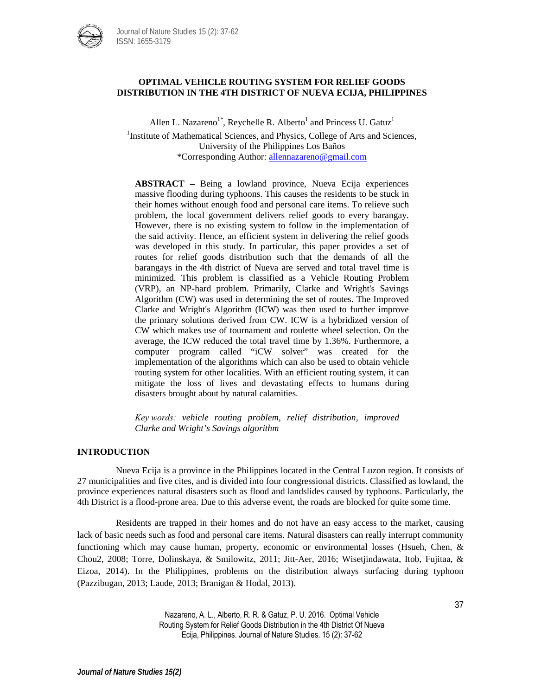

## **OPTIMAL VEHICLE ROUTING SYSTEM FOR RELIEF GOODS DISTRIBUTION IN THE 4TH DISTRICT OF NUEVA ECIJA, PHILIPPINES**

Allen L. Nazareno<sup>1\*</sup>, Reychelle R. Alberto<sup>1</sup> and Princess U. Gatuz<sup>1</sup> <sup>1</sup>Institute of Mathematical Sciences, and Physics, College of Arts and Sciences, University of the Philippines Los Baños \*Corresponding Author[: allennazareno@gmail.com](mailto:allennazareno@gmail.com)

**ABSTRACT –** Being a lowland province, Nueva Ecija experiences massive flooding during typhoons. This causes the residents to be stuck in their homes without enough food and personal care items. To relieve such problem, the local government delivers relief goods to every barangay. However, there is no existing system to follow in the implementation of the said activity. Hence, an efficient system in delivering the relief goods was developed in this study. In particular, this paper provides a set of routes for relief goods distribution such that the demands of all the barangays in the 4th district of Nueva are served and total travel time is minimized. This problem is classified as a Vehicle Routing Problem (VRP), an NP-hard problem. Primarily, Clarke and Wright's Savings Algorithm (CW) was used in determining the set of routes. The Improved Clarke and Wright's Algorithm (ICW) was then used to further improve the primary solutions derived from CW. ICW is a hybridized version of CW which makes use of tournament and roulette wheel selection. On the average, the ICW reduced the total travel time by 1.36%. Furthermore, a computer program called "iCW solver" was created for the implementation of the algorithms which can also be used to obtain vehicle routing system for other localities. With an efficient routing system, it can mitigate the loss of lives and devastating effects to humans during disasters brought about by natural calamities.

*Key words: vehicle routing problem, relief distribution, improved Clarke and Wright's Savings algorithm*

### **INTRODUCTION**

Nueva Ecija is a province in the Philippines located in the Central Luzon region. It consists of 27 municipalities and five cites, and is divided into four congressional districts. Classified as lowland, the province experiences natural disasters such as flood and landslides caused by typhoons. Particularly, the 4th District is a flood-prone area. Due to this adverse event, the roads are blocked for quite some time.

Residents are trapped in their homes and do not have an easy access to the market, causing lack of basic needs such as food and personal care items. Natural disasters can really interrupt community functioning which may cause human, property, economic or environmental losses (Hsueh, Chen, & Chou2, 2008; Torre, Dolinskaya, & Smilowitz, 2011; Jitt-Aer, 2016; Wisetjindawata, Itob, Fujitaa, & Eizoa, 2014). In the Philippines, problems on the distribution always surfacing during typhoon (Pazzibugan, 2013; Laude, 2013; Branigan & Hodal, 2013).

> Nazareno, A. L., Alberto, R. R. & Gatuz, P. U. 2016. Optimal Vehicle Routing System for Relief Goods Distribution in the 4th District Of Nueva Ecija, Philippines. Journal of Nature Studies. 15 (2): 37-62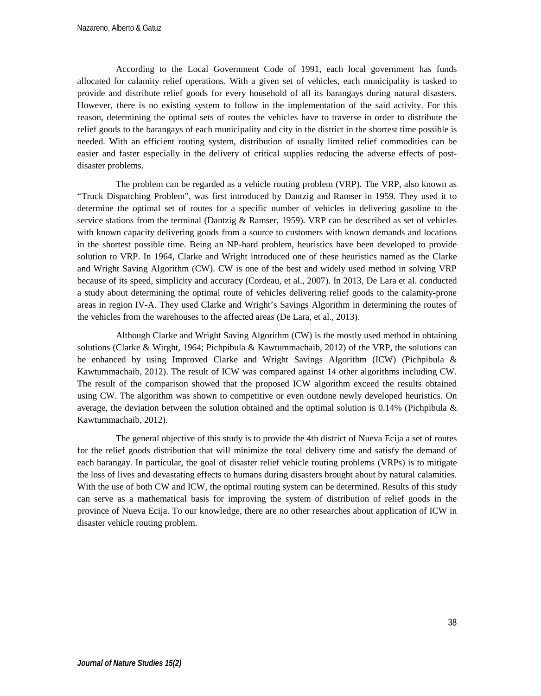According to the Local Government Code of 1991, each local government has funds allocated for calamity relief operations. With a given set of vehicles, each municipality is tasked to provide and distribute relief goods for every household of all its barangays during natural disasters. However, there is no existing system to follow in the implementation of the said activity. For this reason, determining the optimal sets of routes the vehicles have to traverse in order to distribute the relief goods to the barangays of each municipality and city in the district in the shortest time possible is needed. With an efficient routing system, distribution of usually limited relief commodities can be easier and faster especially in the delivery of critical supplies reducing the adverse effects of postdisaster problems.

The problem can be regarded as a vehicle routing problem (VRP). The VRP, also known as "Truck Dispatching Problem", was first introduced by Dantzig and Ramser in 1959. They used it to determine the optimal set of routes for a specific number of vehicles in delivering gasoline to the service stations from the terminal (Dantzig & Ramser, 1959). VRP can be described as set of vehicles with known capacity delivering goods from a source to customers with known demands and locations in the shortest possible time. Being an NP-hard problem, heuristics have been developed to provide solution to VRP. In 1964, Clarke and Wright introduced one of these heuristics named as the Clarke and Wright Saving Algorithm (CW). CW is one of the best and widely used method in solving VRP because of its speed, simplicity and accuracy (Cordeau, et al., 2007). In 2013, De Lara et al. conducted a study about determining the optimal route of vehicles delivering relief goods to the calamity-prone areas in region IV-A. They used Clarke and Wright's Savings Algorithm in determining the routes of the vehicles from the warehouses to the affected areas (De Lara, et al., 2013).

Although Clarke and Wright Saving Algorithm (CW) is the mostly used method in obtaining solutions (Clarke & Wirght, 1964; Pichpibula & Kawtummachaib, 2012) of the VRP, the solutions can be enhanced by using Improved Clarke and Wright Savings Algorithm (ICW) (Pichpibula & Kawtummachaib, 2012). The result of ICW was compared against 14 other algorithms including CW. The result of the comparison showed that the proposed ICW algorithm exceed the results obtained using CW. The algorithm was shown to competitive or even outdone newly developed heuristics. On average, the deviation between the solution obtained and the optimal solution is  $0.14\%$  (Pichpibula & Kawtummachaib, 2012).

The general objective of this study is to provide the 4th district of Nueva Ecija a set of routes for the relief goods distribution that will minimize the total delivery time and satisfy the demand of each barangay. In particular, the goal of disaster relief vehicle routing problems (VRPs) is to mitigate the loss of lives and devastating effects to humans during disasters brought about by natural calamities. With the use of both CW and ICW, the optimal routing system can be determined. Results of this study can serve as a mathematical basis for improving the system of distribution of relief goods in the province of Nueva Ecija. To our knowledge, there are no other researches about application of ICW in disaster vehicle routing problem.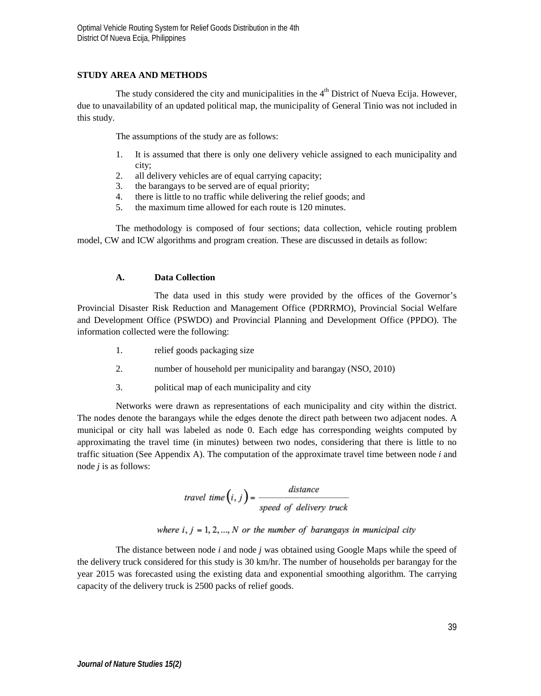# **STUDY AREA AND METHODS**

The study considered the city and municipalities in the  $4<sup>th</sup>$  District of Nueva Ecija. However, due to unavailability of an updated political map, the municipality of General Tinio was not included in this study.

The assumptions of the study are as follows:

- 1. It is assumed that there is only one delivery vehicle assigned to each municipality and city;
- 2. all delivery vehicles are of equal carrying capacity;
- 3. the barangays to be served are of equal priority;
- 4. there is little to no traffic while delivering the relief goods; and
- 5. the maximum time allowed for each route is 120 minutes.

The methodology is composed of four sections; data collection, vehicle routing problem model, CW and ICW algorithms and program creation. These are discussed in details as follow:

## **A. Data Collection**

The data used in this study were provided by the offices of the Governor's Provincial Disaster Risk Reduction and Management Office (PDRRMO), Provincial Social Welfare and Development Office (PSWDO) and Provincial Planning and Development Office (PPDO). The information collected were the following:

- 1. relief goods packaging size
- 2. number of household per municipality and barangay (NSO, 2010)
- 3. political map of each municipality and city

Networks were drawn as representations of each municipality and city within the district. The nodes denote the barangays while the edges denote the direct path between two adjacent nodes. A municipal or city hall was labeled as node 0. Each edge has corresponding weights computed by approximating the travel time (in minutes) between two nodes, considering that there is little to no traffic situation (See Appendix A). The computation of the approximate travel time between node *i* and node *j* is as follows:

$$
travel\ time(i, j) = \frac{distance}{speed\ of\ delivery\ truck}
$$

where  $i, j = 1, 2, ..., N$  or the number of barangays in municipal city

The distance between node *i* and node *j* was obtained using Google Maps while the speed of the delivery truck considered for this study is 30 km/hr. The number of households per barangay for the year 2015 was forecasted using the existing data and exponential smoothing algorithm. The carrying capacity of the delivery truck is 2500 packs of relief goods.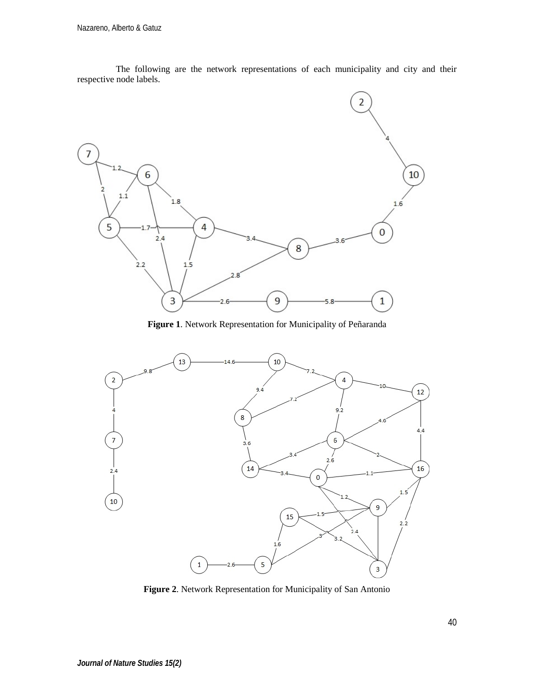

The following are the network representations of each municipality and city and their respective node labels.

**Figure 1**. Network Representation for Municipality of Peñaranda



**Figure 2**. Network Representation for Municipality of San Antonio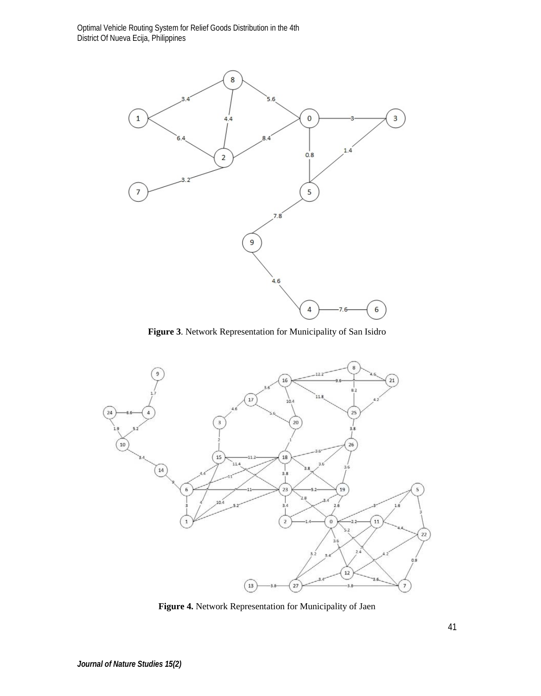

**Figure 3**. Network Representation for Municipality of San Isidro



**Figure 4.** Network Representation for Municipality of Jaen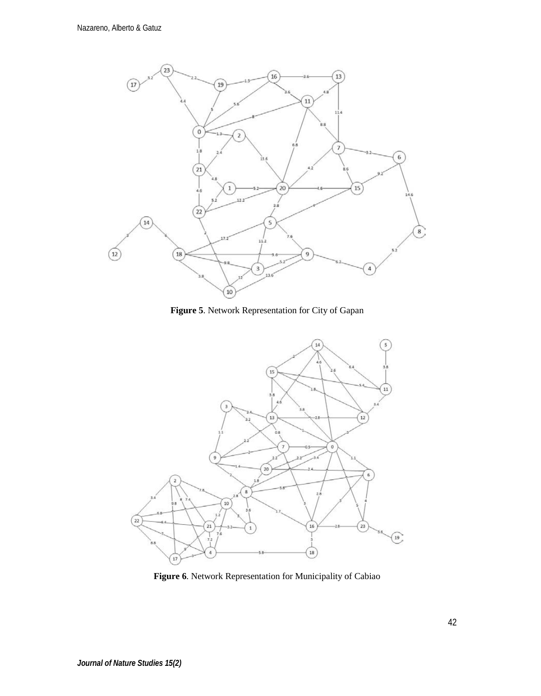

**Figure 5**. Network Representation for City of Gapan



**Figure 6**. Network Representation for Municipality of Cabiao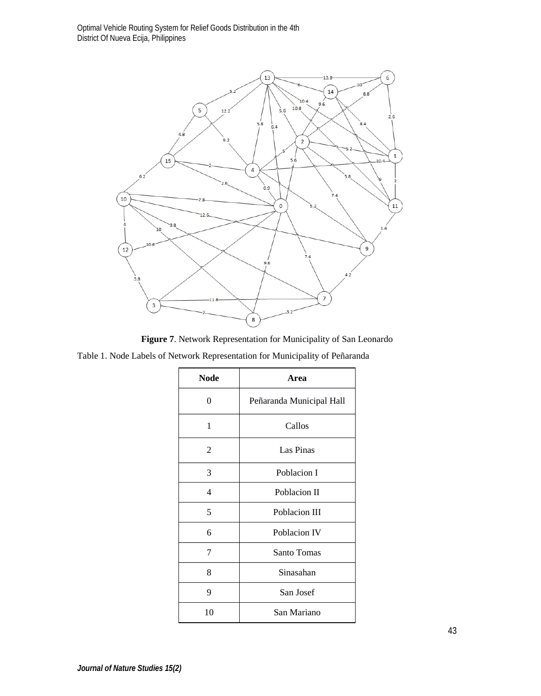Optimal Vehicle Routing System for Relief Goods Distribution in the 4th District Of Nueva Ecija, Philippines



**Figure 7**. Network Representation for Municipality of San Leonardo

Table 1. Node Labels of Network Representation for Municipality of Peñaranda

| <b>Node</b> | Area                     |  |  |
|-------------|--------------------------|--|--|
| 0           | Peñaranda Municipal Hall |  |  |
| 1           | Callos                   |  |  |
| 2           | Las Pinas                |  |  |
| 3           | Poblacion I              |  |  |
| 4           | Poblacion II             |  |  |
| 5           | Poblacion III            |  |  |
| 6           | Poblacion IV             |  |  |
| 7           | Santo Tomas              |  |  |
| 8           | Sinasahan                |  |  |
| 9           | San Josef                |  |  |
| 10          | San Mariano              |  |  |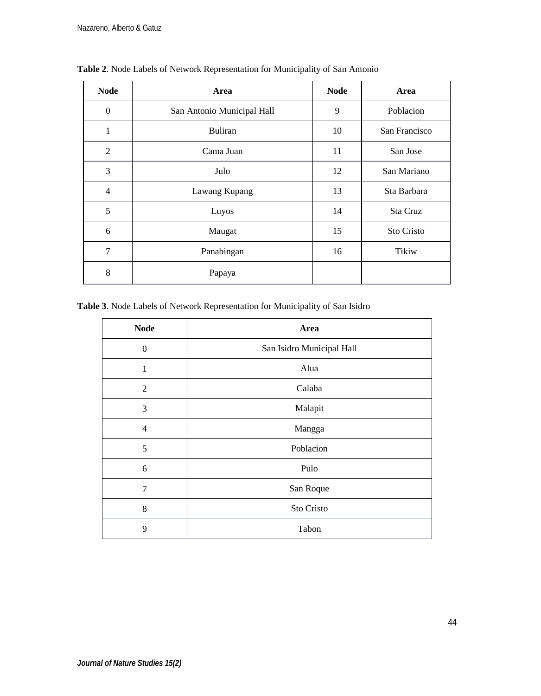| <b>Node</b>    | Area                       | <b>Node</b> | Area          |
|----------------|----------------------------|-------------|---------------|
| $\overline{0}$ | San Antonio Municipal Hall | 9           | Poblacion     |
| 1              | <b>Buliran</b>             | 10          | San Francisco |
| $\overline{2}$ | Cama Juan                  | 11          | San Jose      |
| 3              | Julo                       | 12          | San Mariano   |
| $\overline{4}$ | Lawang Kupang              | 13          | Sta Barbara   |
| 5              | Luyos                      | 14          | Sta Cruz      |
| 6              | Maugat                     | 15          | Sto Cristo    |
| 7              | Panabingan                 | 16          | Tikiw         |
| 8              | Papaya                     |             |               |

**Table 2**. Node Labels of Network Representation for Municipality of San Antonio

**Table 3**. Node Labels of Network Representation for Municipality of San Isidro

| <b>Node</b>    | Area                      |  |
|----------------|---------------------------|--|
| $\theta$       | San Isidro Municipal Hall |  |
| 1              | Alua                      |  |
| $\mathfrak{2}$ | Calaba                    |  |
| 3              | Malapit                   |  |
| $\overline{4}$ | Mangga                    |  |
| 5              | Poblacion                 |  |
| 6              | Pulo                      |  |
| 7              | San Roque                 |  |
| 8              | Sto Cristo                |  |
| 9              | Tabon                     |  |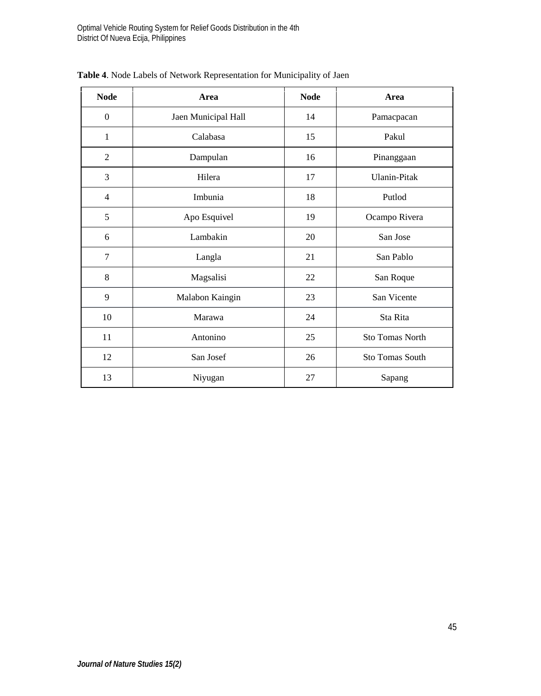| <b>Node</b>    | Area                | <b>Node</b> | Area                   |
|----------------|---------------------|-------------|------------------------|
| $\mathbf{0}$   | Jaen Municipal Hall | 14          | Pamacpacan             |
| 1              | Calabasa            | 15          | Pakul                  |
| $\overline{2}$ | Dampulan            | 16          | Pinanggaan             |
| 3              | Hilera              | 17          | <b>Ulanin-Pitak</b>    |
| $\overline{4}$ | Imbunia             | 18          | Putlod                 |
| 5              | Apo Esquivel        | 19          | Ocampo Rivera          |
| 6              | Lambakin            | 20          | San Jose               |
| $\overline{7}$ | Langla              | 21          | San Pablo              |
| 8              | Magsalisi           | 22          | San Roque              |
| 9              | Malabon Kaingin     | 23          | San Vicente            |
| 10             | Marawa              | 24          | Sta Rita               |
| 11             | Antonino            | 25          | <b>Sto Tomas North</b> |
| 12             | San Josef           | 26          | <b>Sto Tomas South</b> |
| 13             | Niyugan             | 27          | Sapang                 |

**Table 4**. Node Labels of Network Representation for Municipality of Jaen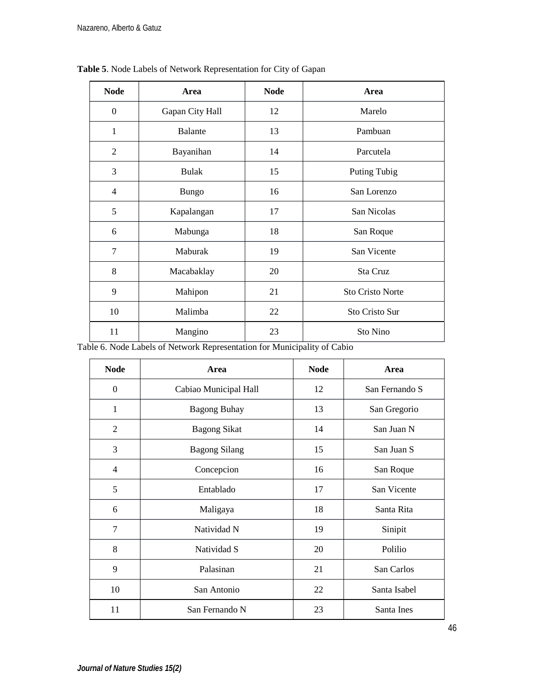| <b>Node</b>    | Area            | <b>Node</b> | Area                    |  |
|----------------|-----------------|-------------|-------------------------|--|
| $\theta$       | Gapan City Hall | 12          | Marelo                  |  |
| 1              | Balante         | 13          | Pambuan                 |  |
| 2              | Bayanihan       | 14          | Parcutela               |  |
| 3              | <b>Bulak</b>    | 15          | Puting Tubig            |  |
| $\overline{4}$ | Bungo           | 16          | San Lorenzo             |  |
| 5              | Kapalangan      | 17          | San Nicolas             |  |
| 6              | Mabunga         | 18          | San Roque               |  |
| 7              | Maburak         | 19          | San Vicente             |  |
| 8              | Macabaklay      | 20          | Sta Cruz                |  |
| 9              | Mahipon         | 21          | <b>Sto Cristo Norte</b> |  |
| 10             | Malimba         | 22          | Sto Cristo Sur          |  |
| 11             | Mangino         | 23          | Sto Nino                |  |

**Table 5**. Node Labels of Network Representation for City of Gapan

Table 6. Node Labels of Network Representation for Municipality of Cabio

| <b>Node</b>    | Area                  | <b>Node</b> | Area           |
|----------------|-----------------------|-------------|----------------|
| $\overline{0}$ | Cabiao Municipal Hall | 12          | San Fernando S |
| 1              | <b>Bagong Buhay</b>   | 13          | San Gregorio   |
| 2              | <b>Bagong Sikat</b>   | 14          | San Juan N     |
| 3              | <b>Bagong Silang</b>  | 15          | San Juan S     |
| $\overline{4}$ | Concepcion            | 16          | San Roque      |
| 5              | Entablado             | 17          | San Vicente    |
| 6              | Maligaya              | 18          | Santa Rita     |
| 7              | Natividad N           | 19          | Sinipit        |
| 8              | Natividad S           | 20          | Polilio        |
| 9              | Palasinan             | 21          | San Carlos     |
| 10             | San Antonio           | 22          | Santa Isabel   |
| 11             | San Fernando N        | 23          | Santa Ines     |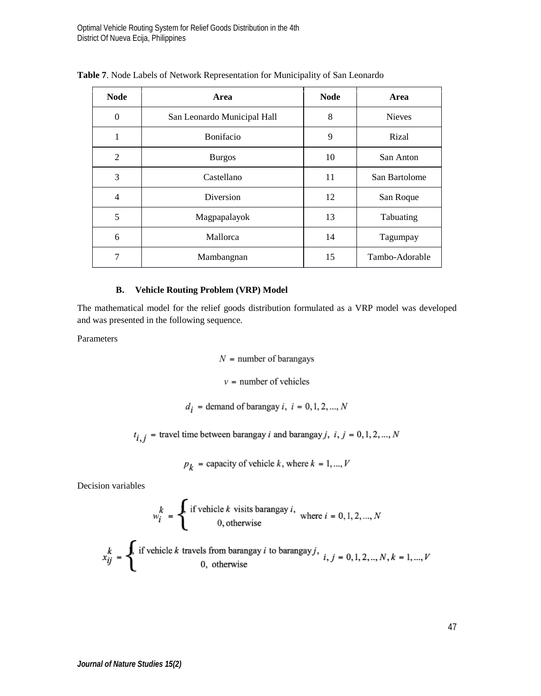| <b>Node</b>    | Area                        | <b>Node</b> | Area           |
|----------------|-----------------------------|-------------|----------------|
| $\overline{0}$ | San Leonardo Municipal Hall | 8           | <b>Nieves</b>  |
| 1              | Bonifacio                   | 9           | Rizal          |
| 2              | <b>Burgos</b>               | 10          | San Anton      |
| 3              | Castellano                  | 11          | San Bartolome  |
| $\overline{4}$ | Diversion                   | 12          | San Roque      |
| 5              | Magpapalayok                | 13          | Tabuating      |
| 6              | Mallorca                    | 14          | Tagumpay       |
| 7              | Mambangnan                  | 15          | Tambo-Adorable |

**Table 7**. Node Labels of Network Representation for Municipality of San Leonardo

# **B. Vehicle Routing Problem (VRP) Model**

The mathematical model for the relief goods distribution formulated as a VRP model was developed and was presented in the following sequence.

Parameters

 $N =$  number of barangays

 $v =$  number of vehicles

 $d_i$  = demand of barangay i,  $i = 0, 1, 2, ..., N$ 

 $t_{i,j}$  = travel time between barangay *i* and barangay *j*, *i*, *j* = 0, 1, 2, ..., *N* 

$$
p_k = \text{capacity of vehicle } k, \text{ where } k = 1, ..., V
$$

Decision variables

$$
w_i^k = \begin{cases} \text{ if vehicle } k \text{ visits barangay } i, \\ 0, \text{ otherwise} \end{cases} \text{ where } i = 0, 1, 2, ..., N
$$

$$
x_{ij}^k = \begin{cases} \text{ if vehicle } k \text{ travels from barangay } i \text{ to barangay } j, \\ 0, \text{ otherwise} \end{cases}
$$

╭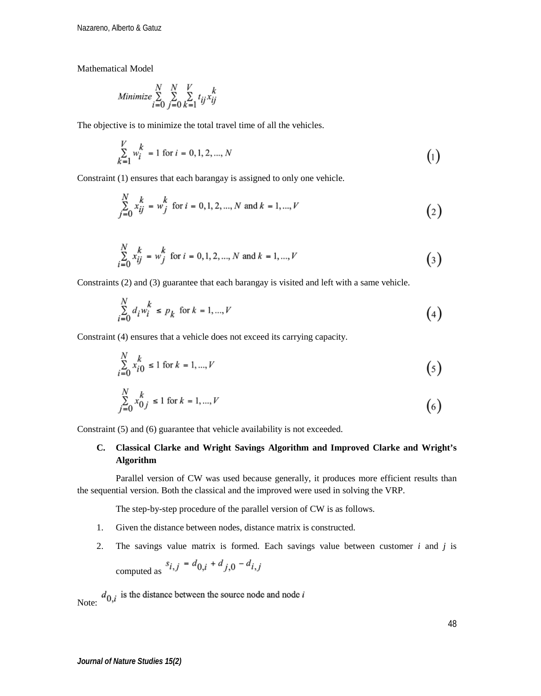Mathematical Model

$$
Minimize \sum_{i=0}^{N} \sum_{j=0}^{N} \sum_{k=1}^{V} t_{ij} x_{ij}^{k}
$$

The objective is to minimize the total travel time of all the vehicles.

$$
\sum_{k=1}^{V} w_i^k = 1 \text{ for } i = 0, 1, 2, ..., N
$$
 (1)

Constraint (1) ensures that each barangay is assigned to only one vehicle.

$$
\sum_{j=0}^{N} x_{ij}^{k} = w_{j}^{k} \text{ for } i = 0, 1, 2, ..., N \text{ and } k = 1, ..., V
$$
 (2)

$$
\sum_{i=0}^{N} x_{ij}^{k} = w_{j}^{k} \text{ for } i = 0, 1, 2, ..., N \text{ and } k = 1, ..., V
$$
\n(3)

Constraints (2) and (3) guarantee that each barangay is visited and left with a same vehicle.

$$
\sum_{i=0}^{N} d_i w_i^k \le p_k \text{ for } k = 1, ..., V
$$
 (4)

Constraint (4) ensures that a vehicle does not exceed its carrying capacity.

$$
\sum_{i=0}^{N} x_{i0}^{k} \le 1 \text{ for } k = 1, ..., V
$$
\n(5)

$$
\sum_{j=0}^{N} x_{0j}^{k} \le 1 \text{ for } k = 1, ..., V
$$
\n(6)

Constraint (5) and (6) guarantee that vehicle availability is not exceeded.

# **C. Classical Clarke and Wright Savings Algorithm and Improved Clarke and Wright's Algorithm**

Parallel version of CW was used because generally, it produces more efficient results than the sequential version. Both the classical and the improved were used in solving the VRP.

The step-by-step procedure of the parallel version of CW is as follows.

- 1. Given the distance between nodes, distance matrix is constructed.
- 2. The savings value matrix is formed. Each savings value between customer *i* and *j* is

computed as  $s_{i,j} = d_{0,i} + d_{j,0} - d_{i,j}$ 

Note:  $d_{0,i}$  is the distance between the source node and node i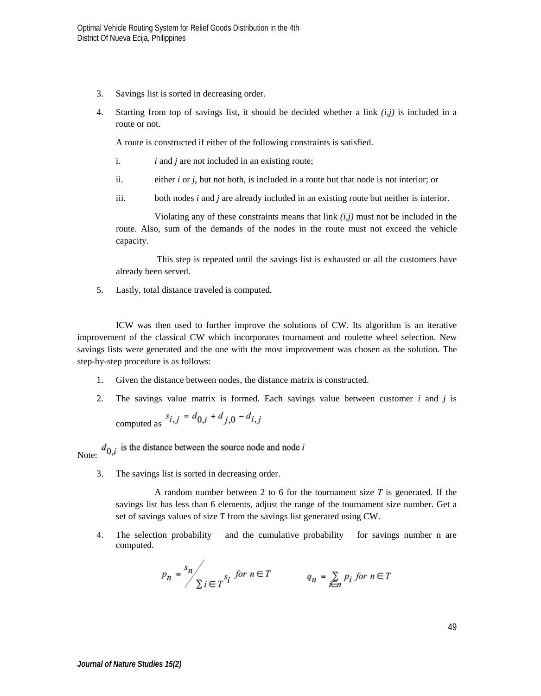- 3. Savings list is sorted in decreasing order.
- 4. Starting from top of savings list, it should be decided whether a link  $(i, j)$  is included in a route or not.

A route is constructed if either of the following constraints is satisfied.

- i. *i* and *j* are not included in an existing route;
- ii. either *i* or *j*, but not both, is included in a route but that node is not interior; or
- iii. both nodes *i* and *j* are already included in an existing route but neither is interior.

Violating any of these constraints means that link *(i,j)* must not be included in the route. Also, sum of the demands of the nodes in the route must not exceed the vehicle capacity.

This step is repeated until the savings list is exhausted or all the customers have already been served.

5. Lastly, total distance traveled is computed.

ICW was then used to further improve the solutions of CW. Its algorithm is an iterative improvement of the classical CW which incorporates tournament and roulette wheel selection. New savings lists were generated and the one with the most improvement was chosen as the solution. The step-by-step procedure is as follows:

- 1. Given the distance between nodes, the distance matrix is constructed.
- 2. The savings value matrix is formed. Each savings value between customer *i* and *j* is computed as  $s_{i,j} = d_{0,i} + d_{j,0} - d_{i,j}$

 $d_{0,i}$  is the distance between the source node and node *i* Note:

3. The savings list is sorted in decreasing order.

A random number between 2 to 6 for the tournament size *T* is generated. If the savings list has less than 6 elements, adjust the range of the tournament size number. Get a set of savings values of size *T* from the savings list generated using CW.

4. The selection probability and the cumulative probability for savings number n are computed.

$$
p_n = \sum_{i=1}^{s_n} \sum_{j \in T} s_j \text{ for } n \in T
$$
\n
$$
q_n = \sum_{i \in n} p_i \text{ for } n \in T
$$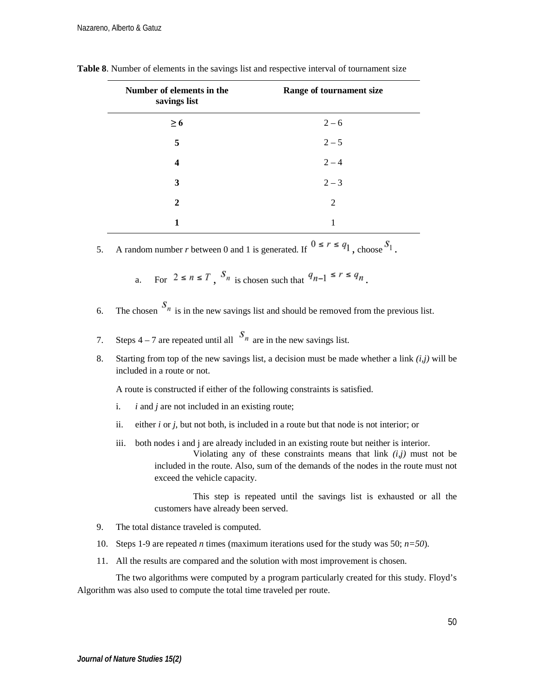| Number of elements in the<br>savings list | Range of tournament size |
|-------------------------------------------|--------------------------|
| $\geq 6$                                  | $2 - 6$                  |
| 5                                         | $2 - 5$                  |
| 4                                         | $2 - 4$                  |
| 3                                         | $2 - 3$                  |
| $\mathbf{2}$                              | 2                        |
| 1                                         | 1                        |

**Table 8**. Number of elements in the savings list and respective interval of tournament size

5. A random number *r* between 0 and 1 is generated. If  $0 \le r \le q_1$ , choose  $S_1$ .

a. For  $2 \le n \le T$ ,  $S_n$  is chosen such that  $q_{n-1} \le r \le q_n$ .

6. The chosen  $S_n$  is in the new savings list and should be removed from the previous list.

7. Steps 4 – 7 are repeated until all  $S_n$  are in the new savings list.

8. Starting from top of the new savings list, a decision must be made whether a link *(i,j)* will be included in a route or not.

A route is constructed if either of the following constraints is satisfied.

- i. *i* and *j* are not included in an existing route;
- ii. either *i* or *j*, but not both, is included in a route but that node is not interior; or
- iii. both nodes i and j are already included in an existing route but neither is interior.

Violating any of these constraints means that link *(i,j)* must not be included in the route. Also, sum of the demands of the nodes in the route must not exceed the vehicle capacity.

This step is repeated until the savings list is exhausted or all the customers have already been served.

- 9. The total distance traveled is computed.
- 10. Steps 1-9 are repeated *n* times (maximum iterations used for the study was 50; *n=50*).
- 11. All the results are compared and the solution with most improvement is chosen.

The two algorithms were computed by a program particularly created for this study. Floyd's Algorithm was also used to compute the total time traveled per route.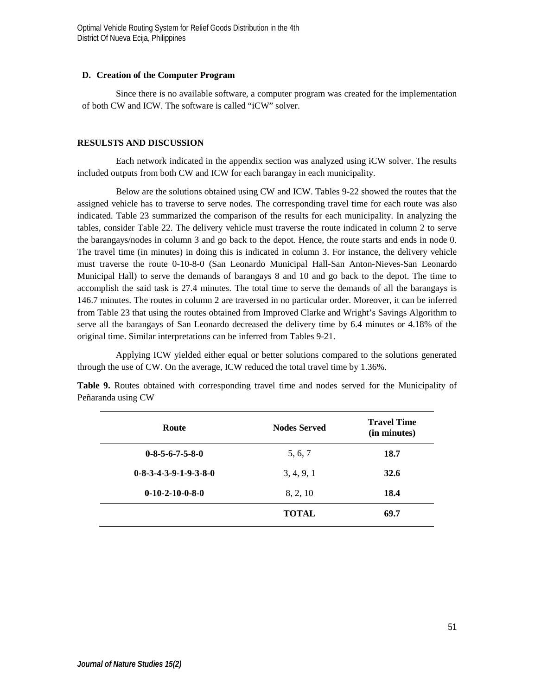## **D. Creation of the Computer Program**

Since there is no available software, a computer program was created for the implementation of both CW and ICW. The software is called "iCW" solver.

## **RESULSTS AND DISCUSSION**

Each network indicated in the appendix section was analyzed using iCW solver. The results included outputs from both CW and ICW for each barangay in each municipality.

Below are the solutions obtained using CW and ICW. Tables 9-22 showed the routes that the assigned vehicle has to traverse to serve nodes. The corresponding travel time for each route was also indicated. Table 23 summarized the comparison of the results for each municipality. In analyzing the tables, consider Table 22. The delivery vehicle must traverse the route indicated in column 2 to serve the barangays/nodes in column 3 and go back to the depot. Hence, the route starts and ends in node 0. The travel time (in minutes) in doing this is indicated in column 3. For instance, the delivery vehicle must traverse the route 0-10-8-0 (San Leonardo Municipal Hall-San Anton-Nieves-San Leonardo Municipal Hall) to serve the demands of barangays 8 and 10 and go back to the depot. The time to accomplish the said task is 27.4 minutes. The total time to serve the demands of all the barangays is 146.7 minutes. The routes in column 2 are traversed in no particular order. Moreover, it can be inferred from Table 23 that using the routes obtained from Improved Clarke and Wright's Savings Algorithm to serve all the barangays of San Leonardo decreased the delivery time by 6.4 minutes or 4.18% of the original time. Similar interpretations can be inferred from Tables 9-21.

Applying ICW yielded either equal or better solutions compared to the solutions generated through the use of CW. On the average, ICW reduced the total travel time by 1.36%.

| Route                           | <b>Nodes Served</b> | <b>Travel Time</b><br>(in minutes) |
|---------------------------------|---------------------|------------------------------------|
| $0 - 8 - 5 - 6 - 7 - 5 - 8 - 0$ | 5, 6, 7             | 18.7                               |
| $0-8-3-4-3-9-1-9-3-8-0$         | 3, 4, 9, 1          | 32.6                               |
| $0-10-2-10-0-8-0$               | 8, 2, 10            | 18.4                               |
|                                 | <b>TOTAL</b>        | 69.7                               |

**Table 9.** Routes obtained with corresponding travel time and nodes served for the Municipality of Peñaranda using CW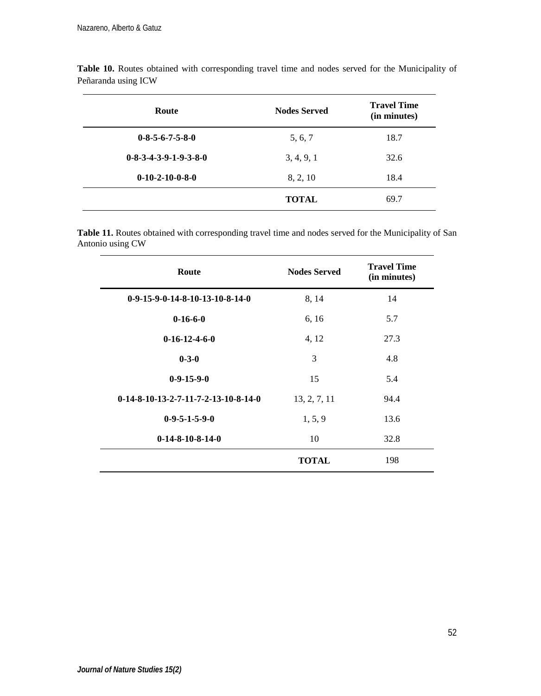| Route                   | <b>Nodes Served</b> | <b>Travel Time</b><br>(in minutes) |
|-------------------------|---------------------|------------------------------------|
| $0-8-5-6-7-5-8-0$       | 5, 6, 7             | 18.7                               |
| $0-8-3-4-3-9-1-9-3-8-0$ | 3, 4, 9, 1          | 32.6                               |
| $0-10-2-10-0-8-0$       | 8, 2, 10            | 18.4                               |
|                         | <b>TOTAL</b>        | 69.7                               |

**Table 10.** Routes obtained with corresponding travel time and nodes served for the Municipality of Peñaranda using ICW

**Table 11.** Routes obtained with corresponding travel time and nodes served for the Municipality of San Antonio using CW

| Route                                  | <b>Nodes Served</b> | <b>Travel Time</b><br>(in minutes) |
|----------------------------------------|---------------------|------------------------------------|
| $0-9-15-9-0-14-8-10-13-10-8-14-0$      | 8, 14               | 14                                 |
| $0-16-6-0$                             | 6, 16               | 5.7                                |
| $0-16-12-4-6-0$                        | 4, 12               | 27.3                               |
| $0 - 3 - 0$                            | 3                   | 4.8                                |
| $0-9-15-9-0$                           | 15                  | 5.4                                |
| $0-14-8-10-13-2-7-11-7-2-13-10-8-14-0$ | 13, 2, 7, 11        | 94.4                               |
| $0-9-5-1-5-9-0$                        | 1, 5, 9             | 13.6                               |
| $0-14-8-10-8-14-0$                     | 10                  | 32.8                               |
|                                        | <b>TOTAL</b>        | 198                                |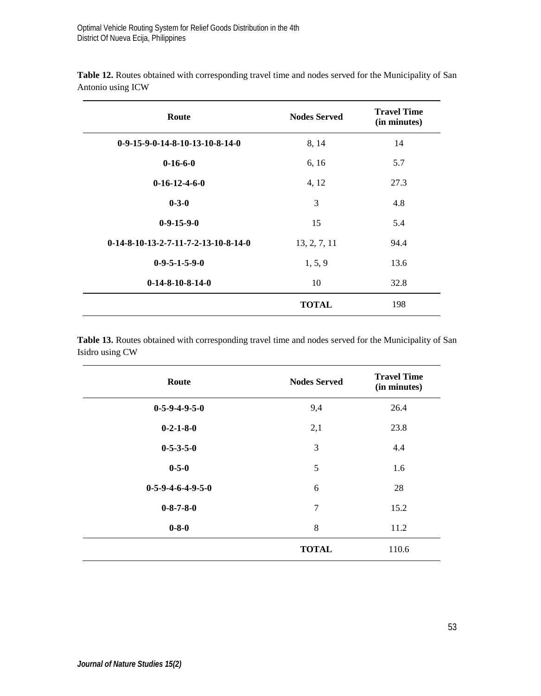| Route                                  | <b>Nodes Served</b> | <b>Travel Time</b><br>(in minutes) |
|----------------------------------------|---------------------|------------------------------------|
| $0-9-15-9-0-14-8-10-13-10-8-14-0$      | 8, 14               | 14                                 |
| $0-16-6-0$                             | 6, 16               | 5.7                                |
| $0-16-12-4-6-0$                        | 4, 12               | 27.3                               |
| $0 - 3 - 0$                            | 3                   | 4.8                                |
| $0-9-15-9-0$                           | 15                  | 5.4                                |
| $0-14-8-10-13-2-7-11-7-2-13-10-8-14-0$ | 13, 2, 7, 11        | 94.4                               |
| $0-9-5-1-5-9-0$                        | 1, 5, 9             | 13.6                               |
| $0-14-8-10-8-14-0$                     | 10                  | 32.8                               |
|                                        | <b>TOTAL</b>        | 198                                |

**Table 12.** Routes obtained with corresponding travel time and nodes served for the Municipality of San Antonio using ICW

**Table 13.** Routes obtained with corresponding travel time and nodes served for the Municipality of San Isidro using CW

| Route               | <b>Nodes Served</b> | <b>Travel Time</b><br>(in minutes) |
|---------------------|---------------------|------------------------------------|
| $0-5-9-4-9-5-0$     | 9,4                 | 26.4                               |
| $0-2-1-8-0$         | 2,1                 | 23.8                               |
| $0 - 5 - 3 - 5 - 0$ | 3                   | 4.4                                |
| $0 - 5 - 0$         | 5                   | 1.6                                |
| $0-5-9-4-6-4-9-5-0$ | 6                   | 28                                 |
| $0 - 8 - 7 - 8 - 0$ | 7                   | 15.2                               |
| $0 - 8 - 0$         | 8                   | 11.2                               |
|                     | <b>TOTAL</b>        | 110.6                              |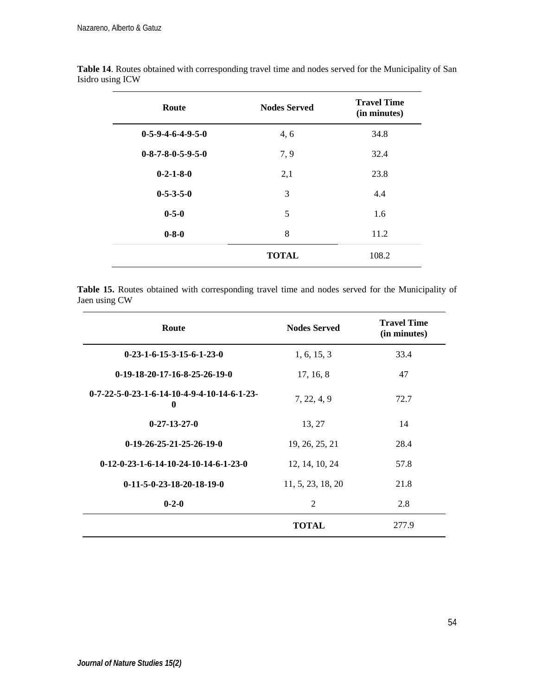| Route                               | <b>Nodes Served</b> | <b>Travel Time</b><br>(in minutes) |
|-------------------------------------|---------------------|------------------------------------|
| $0-5-9-4-6-4-9-5-0$                 | 4,6                 | 34.8                               |
| $0 - 8 - 7 - 8 - 0 - 5 - 9 - 5 - 0$ | 7,9                 | 32.4                               |
| $0-2-1-8-0$                         | 2,1                 | 23.8                               |
| $0 - 5 - 3 - 5 - 0$                 | 3                   | 4.4                                |
| $0 - 5 - 0$                         | 5                   | 1.6                                |
| $0 - 8 - 0$                         | 8                   | 11.2                               |
|                                     | <b>TOTAL</b>        | 108.2                              |

**Table 14**. Routes obtained with corresponding travel time and nodes served for the Municipality of San Isidro using ICW

**Table 15.** Routes obtained with corresponding travel time and nodes served for the Municipality of Jaen using CW

| Route                                              | <b>Nodes Served</b> | <b>Travel Time</b><br>(in minutes) |
|----------------------------------------------------|---------------------|------------------------------------|
| $0-23-1-6-15-3-15-6-1-23-0$                        | 1, 6, 15, 3         | 33.4                               |
| $0-19-18-20-17-16-8-25-26-19-0$                    | 17, 16, 8           | 47                                 |
| $0-7-22-5-0-23-1-6-14-10-4-9-4-10-14-6-1-23-$<br>0 | 7, 22, 4, 9         | 72.7                               |
| $0 - 27 - 13 - 27 - 0$                             | 13, 27              | 14                                 |
| $0-19-26-25-21-25-26-19-0$                         | 19, 26, 25, 21      | 28.4                               |
| $0-12-0-23-1-6-14-10-24-10-14-6-1-23-0$            | 12, 14, 10, 24      | 57.8                               |
| $0-11-5-0-23-18-20-18-19-0$                        | 11, 5, 23, 18, 20   | 21.8                               |
| $0 - 2 - 0$                                        | $\overline{c}$      | 2.8                                |
|                                                    | <b>TOTAL</b>        | 277.9                              |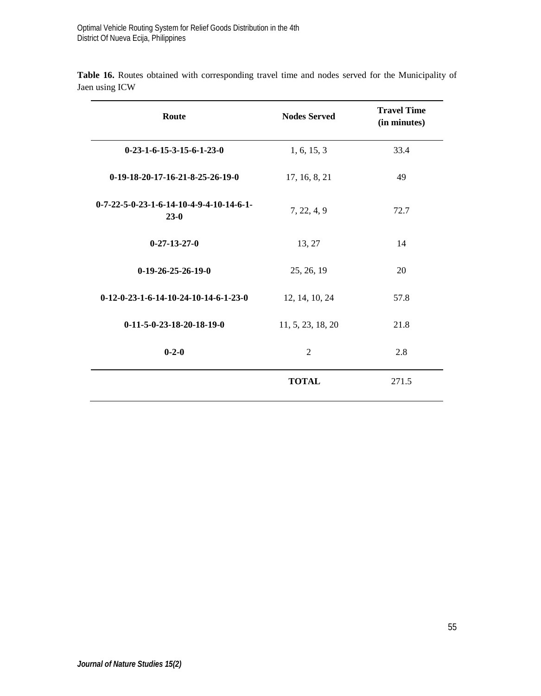| Route                                                | <b>Nodes Served</b> | <b>Travel Time</b><br>(in minutes) |
|------------------------------------------------------|---------------------|------------------------------------|
| $0-23-1-6-15-3-15-6-1-23-0$                          | 1, 6, 15, 3         | 33.4                               |
| $0-19-18-20-17-16-21-8-25-26-19-0$                   | 17, 16, 8, 21       | 49                                 |
| $0-7-22-5-0-23-1-6-14-10-4-9-4-10-14-6-1-$<br>$23-0$ | 7, 22, 4, 9         | 72.7                               |
| $0 - 27 - 13 - 27 - 0$                               | 13, 27              | 14                                 |
| $0-19-26-25-26-19-0$                                 | 25, 26, 19          | 20                                 |
| $0-12-0-23-1-6-14-10-24-10-14-6-1-23-0$              | 12, 14, 10, 24      | 57.8                               |
| $0-11-5-0-23-18-20-18-19-0$                          | 11, 5, 23, 18, 20   | 21.8                               |
| $0 - 2 - 0$                                          | $\overline{c}$      | 2.8                                |
|                                                      | <b>TOTAL</b>        | 271.5                              |

**Table 16.** Routes obtained with corresponding travel time and nodes served for the Municipality of Jaen using ICW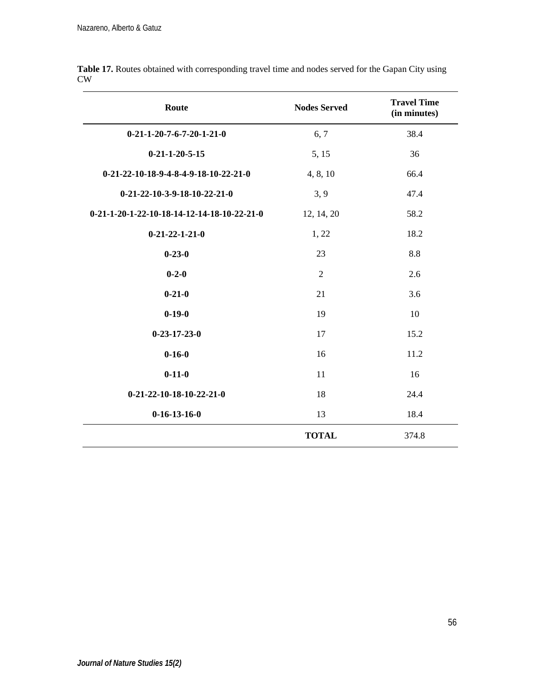| Route                                       | <b>Nodes Served</b> | <b>Travel Time</b><br>(in minutes) |
|---------------------------------------------|---------------------|------------------------------------|
| $0-21-1-20-7-6-7-20-1-21-0$                 | 6, 7                | 38.4                               |
| $0 - 21 - 1 - 20 - 5 - 15$                  | 5, 15               | 36                                 |
| 0-21-22-10-18-9-4-8-4-9-18-10-22-21-0       | 4, 8, 10            | 66.4                               |
| $0-21-22-10-3-9-18-10-22-21-0$              | 3, 9                | 47.4                               |
| 0-21-1-20-1-22-10-18-14-12-14-18-10-22-21-0 | 12, 14, 20          | 58.2                               |
| $0 - 21 - 22 - 1 - 21 - 0$                  | 1, 22               | 18.2                               |
| $0 - 23 - 0$                                | 23                  | 8.8                                |
| $0 - 2 - 0$                                 | 2                   | 2.6                                |
| $0 - 21 - 0$                                | 21                  | 3.6                                |
| $0-19-0$                                    | 19                  | 10                                 |
| $0 - 23 - 17 - 23 - 0$                      | 17                  | 15.2                               |
| $0 - 16 - 0$                                | 16                  | 11.2                               |
| $0-11-0$                                    | 11                  | 16                                 |
| $0-21-22-10-18-10-22-21-0$                  | 18                  | 24.4                               |
| $0-16-13-16-0$                              | 13                  | 18.4                               |
|                                             | <b>TOTAL</b>        | 374.8                              |

Table 17. Routes obtained with corresponding travel time and nodes served for the Gapan City using CW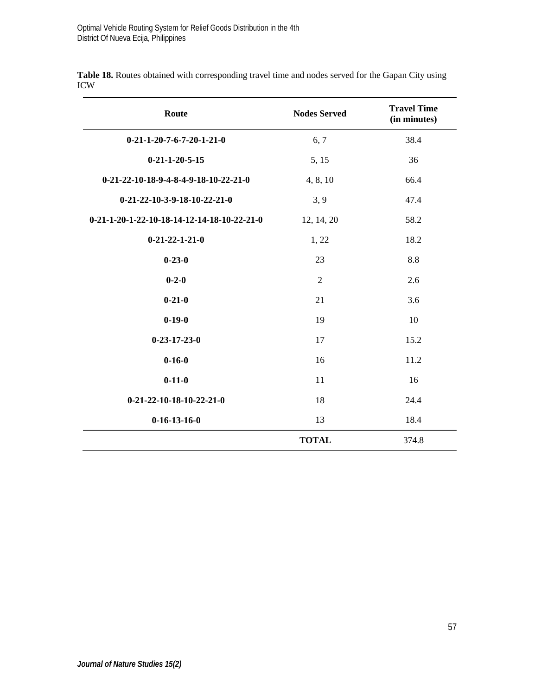| Route                                       | <b>Nodes Served</b> | <b>Travel Time</b><br>(in minutes) |
|---------------------------------------------|---------------------|------------------------------------|
| $0-21-1-20-7-6-7-20-1-21-0$                 | 6, 7                | 38.4                               |
| $0 - 21 - 1 - 20 - 5 - 15$                  | 5, 15               | 36                                 |
| $0-21-22-10-18-9-4-8-4-9-18-10-22-21-0$     | 4, 8, 10            | 66.4                               |
| $0-21-22-10-3-9-18-10-22-21-0$              | 3, 9                | 47.4                               |
| 0-21-1-20-1-22-10-18-14-12-14-18-10-22-21-0 | 12, 14, 20          | 58.2                               |
| $0 - 21 - 22 - 1 - 21 - 0$                  | 1, 22               | 18.2                               |
| $0 - 23 - 0$                                | 23                  | 8.8                                |
| $0 - 2 - 0$                                 | 2                   | 2.6                                |
| $0 - 21 - 0$                                | 21                  | 3.6                                |
| $0 - 19 - 0$                                | 19                  | 10                                 |
| $0 - 23 - 17 - 23 - 0$                      | 17                  | 15.2                               |
| $0 - 16 - 0$                                | 16                  | 11.2                               |
| $0 - 11 - 0$                                | 11                  | 16                                 |
| $0-21-22-10-18-10-22-21-0$                  | 18                  | 24.4                               |
| $0-16-13-16-0$                              | 13                  | 18.4                               |
|                                             | <b>TOTAL</b>        | 374.8                              |

**Table 18.** Routes obtained with corresponding travel time and nodes served for the Gapan City using ICW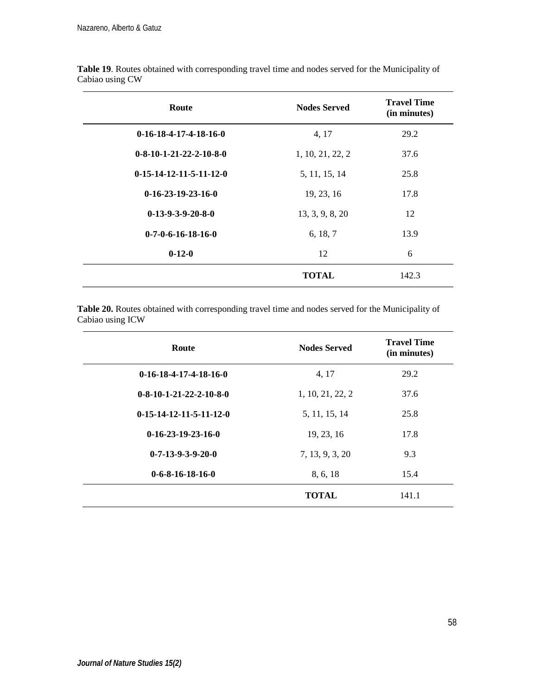| Route                     | <b>Nodes Served</b> | <b>Travel Time</b><br>(in minutes) |
|---------------------------|---------------------|------------------------------------|
| $0-16-18-4-17-4-18-16-0$  | 4, 17               | 29.2                               |
| $0-8-10-1-21-22-2-10-8-0$ | 1, 10, 21, 22, 2    | 37.6                               |
| $0-15-14-12-11-5-11-12-0$ | 5, 11, 15, 14       | 25.8                               |
| $0-16-23-19-23-16-0$      | 19, 23, 16          | 17.8                               |
| $0-13-9-3-9-20-8-0$       | 13, 3, 9, 8, 20     | 12                                 |
| $0-7-0-6-16-18-16-0$      | 6, 18, 7            | 13.9                               |
| $0-12-0$                  | 12                  | 6                                  |
|                           | <b>TOTAL</b>        | 142.3                              |

**Table 19**. Routes obtained with corresponding travel time and nodes served for the Municipality of Cabiao using CW

**Table 20.** Routes obtained with corresponding travel time and nodes served for the Municipality of Cabiao using ICW

| Route                             | <b>Nodes Served</b> | <b>Travel Time</b><br>(in minutes) |
|-----------------------------------|---------------------|------------------------------------|
| $0-16-18-4-17-4-18-16-0$          | 4, 17               | 29.2                               |
| $0-8-10-1-21-22-2-10-8-0$         | 1, 10, 21, 22, 2    | 37.6                               |
| $0-15-14-12-11-5-11-12-0$         | 5, 11, 15, 14       | 25.8                               |
| $0-16-23-19-23-16-0$              | 19, 23, 16          | 17.8                               |
| $0 - 7 - 13 - 9 - 3 - 9 - 20 - 0$ | 7, 13, 9, 3, 20     | 9.3                                |
| $0-6-8-16-18-16-0$                | 8, 6, 18            | 15.4                               |
|                                   | <b>TOTAL</b>        | 141.1                              |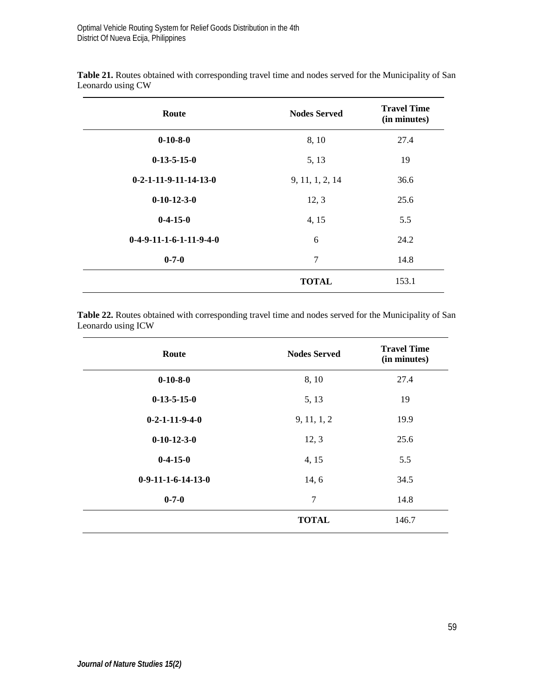| Route                     | <b>Nodes Served</b> | <b>Travel Time</b><br>(in minutes) |
|---------------------------|---------------------|------------------------------------|
| $0-10-8-0$                | 8, 10               | 27.4                               |
| $0-13-5-15-0$             | 5, 13               | 19                                 |
| $0-2-1-11-9-11-14-13-0$   | 9, 11, 1, 2, 14     | 36.6                               |
| $0-10-12-3-0$             | 12, 3               | 25.6                               |
| $0-4-15-0$                | 4, 15               | 5.5                                |
| $0-4-9-11-1-6-1-11-9-4-0$ | 6                   | 24.2                               |
| $0 - 7 - 0$               | 7                   | 14.8                               |
|                           | <b>TOTAL</b>        | 153.1                              |

**Table 21.** Routes obtained with corresponding travel time and nodes served for the Municipality of San Leonardo using CW

**Table 22.** Routes obtained with corresponding travel time and nodes served for the Municipality of San Leonardo using ICW

| Route                | <b>Nodes Served</b> | <b>Travel Time</b><br>(in minutes) |
|----------------------|---------------------|------------------------------------|
| $0-10-8-0$           | 8, 10               | 27.4                               |
| $0-13-5-15-0$        | 5, 13               | 19                                 |
| $0-2-1-11-9-4-0$     | 9, 11, 1, 2         | 19.9                               |
| $0-10-12-3-0$        | 12, 3               | 25.6                               |
| $0-4-15-0$           | 4, 15               | 5.5                                |
| $0-9-11-1-6-14-13-0$ | 14, 6               | 34.5                               |
| $0 - 7 - 0$          | 7                   | 14.8                               |
|                      | <b>TOTAL</b>        | 146.7                              |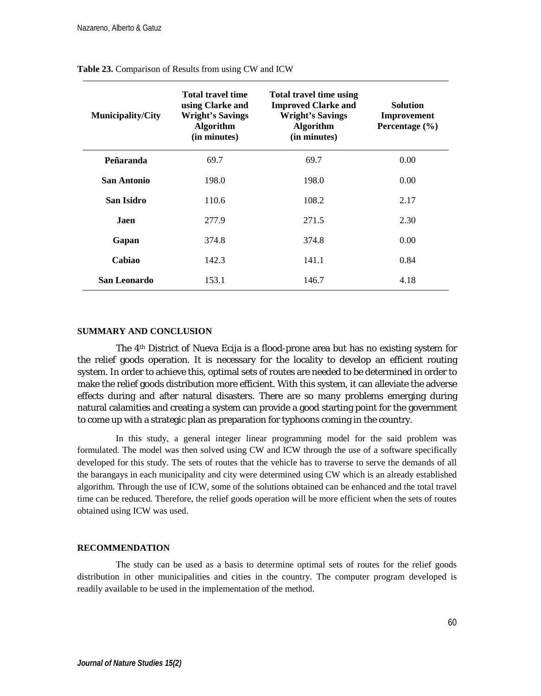| <b>Municipality/City</b> | <b>Total travel time</b><br>using Clarke and<br><b>Wright's Savings</b><br>Algorithm<br>(in minutes) | <b>Total travel time using</b><br><b>Improved Clarke and</b><br><b>Wright's Savings</b><br>Algorithm<br>(in minutes) | <b>Solution</b><br>Improvement<br>Percentage (%) |
|--------------------------|------------------------------------------------------------------------------------------------------|----------------------------------------------------------------------------------------------------------------------|--------------------------------------------------|
| Peñaranda                | 69.7                                                                                                 | 69.7                                                                                                                 | 0.00                                             |
| San Antonio              | 198.0                                                                                                | 198.0                                                                                                                | 0.00                                             |
| San Isidro               | 110.6                                                                                                | 108.2                                                                                                                | 2.17                                             |
| Jaen.                    | 277.9                                                                                                | 271.5                                                                                                                | 2.30                                             |
| Gapan                    | 374.8                                                                                                | 374.8                                                                                                                | 0.00                                             |
| Cabiao                   | 142.3                                                                                                | 141.1                                                                                                                | 0.84                                             |
| San Leonardo             | 153.1                                                                                                | 146.7                                                                                                                | 4.18                                             |

#### **Table 23.** Comparison of Results from using CW and ICW

### **SUMMARY AND CONCLUSION**

The 4th District of Nueva Ecija is a flood-prone area but has no existing system for the relief goods operation. It is necessary for the locality to develop an efficient routing system. In order to achieve this, optimal sets of routes are needed to be determined in order to make the relief goods distribution more efficient. With this system, it can alleviate the adverse effects during and after natural disasters. There are so many problems emerging during natural calamities and creating a system can provide a good starting point for the government to come up with a strategic plan as preparation for typhoons coming in the country.

In this study, a general integer linear programming model for the said problem was formulated. The model was then solved using CW and ICW through the use of a software specifically developed for this study. The sets of routes that the vehicle has to traverse to serve the demands of all the barangays in each municipality and city were determined using CW which is an already established algorithm. Through the use of ICW, some of the solutions obtained can be enhanced and the total travel time can be reduced. Therefore, the relief goods operation will be more efficient when the sets of routes obtained using ICW was used.

#### **RECOMMENDATION**

The study can be used as a basis to determine optimal sets of routes for the relief goods distribution in other municipalities and cities in the country. The computer program developed is readily available to be used in the implementation of the method.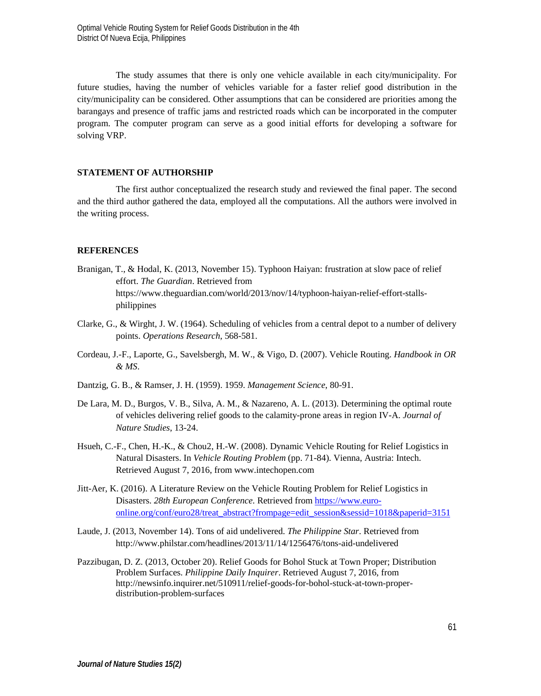The study assumes that there is only one vehicle available in each city/municipality. For future studies, having the number of vehicles variable for a faster relief good distribution in the city/municipality can be considered. Other assumptions that can be considered are priorities among the barangays and presence of traffic jams and restricted roads which can be incorporated in the computer program. The computer program can serve as a good initial efforts for developing a software for solving VRP.

### **STATEMENT OF AUTHORSHIP**

The first author conceptualized the research study and reviewed the final paper. The second and the third author gathered the data, employed all the computations. All the authors were involved in the writing process.

#### **REFERENCES**

- Branigan, T., & Hodal, K. (2013, November 15). Typhoon Haiyan: frustration at slow pace of relief effort. *The Guardian*. Retrieved from https://www.theguardian.com/world/2013/nov/14/typhoon-haiyan-relief-effort-stallsphilippines
- Clarke, G., & Wirght, J. W. (1964). Scheduling of vehicles from a central depot to a number of delivery points. *Operations Research*, 568-581.
- Cordeau, J.-F., Laporte, G., Savelsbergh, M. W., & Vigo, D. (2007). Vehicle Routing. *Handbook in OR & MS*.
- Dantzig, G. B., & Ramser, J. H. (1959). 1959. *Management Science*, 80-91.
- De Lara, M. D., Burgos, V. B., Silva, A. M., & Nazareno, A. L. (2013). Determining the optimal route of vehicles delivering relief goods to the calamity-prone areas in region IV-A. *Journal of Nature Studies*, 13-24.
- Hsueh, C.-F., Chen, H.-K., & Chou2, H.-W. (2008). Dynamic Vehicle Routing for Relief Logistics in Natural Disasters. In *Vehicle Routing Problem* (pp. 71-84). Vienna, Austria: Intech. Retrieved August 7, 2016, from www.intechopen.com
- Jitt-Aer, K. (2016). A Literature Review on the Vehicle Routing Problem for Relief Logistics in Disasters. *28th European Conference.* Retrieved fro[m https://www.euro](https://www.euro-online.org/conf/euro28/treat_abstract?frompage=edit_session&sessid=1018&paperid=3151)[online.org/conf/euro28/treat\\_abstract?frompage=edit\\_session&sessid=1018&paperid=3151](https://www.euro-online.org/conf/euro28/treat_abstract?frompage=edit_session&sessid=1018&paperid=3151)
- Laude, J. (2013, November 14). Tons of aid undelivered. *The Philippine Star*. Retrieved from http://www.philstar.com/headlines/2013/11/14/1256476/tons-aid-undelivered
- Pazzibugan, D. Z. (2013, October 20). Relief Goods for Bohol Stuck at Town Proper; Distribution Problem Surfaces. *Philippine Daily Inquirer*. Retrieved August 7, 2016, from http://newsinfo.inquirer.net/510911/relief-goods-for-bohol-stuck-at-town-properdistribution-problem-surfaces